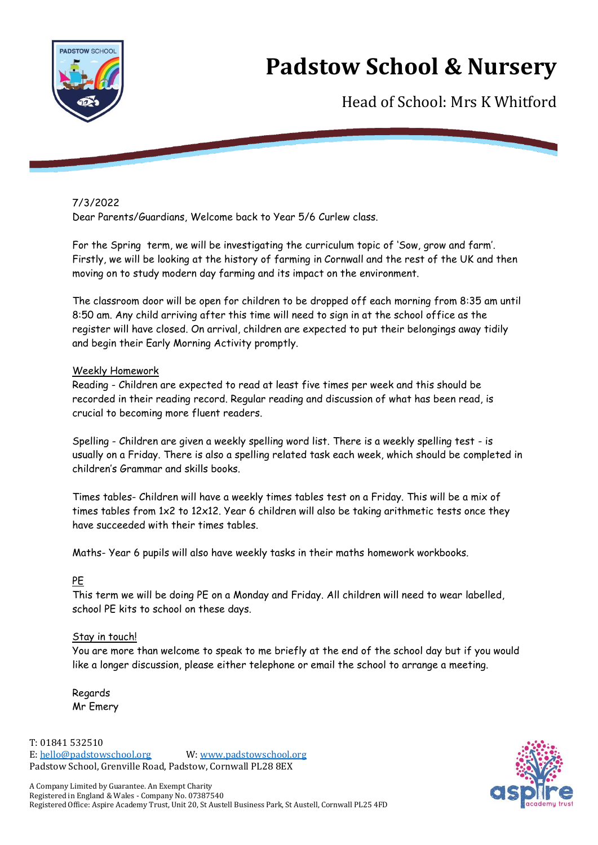

# **Padstow School & Nursery**

Head of School: Mrs K Whitford

## 7/3/2022

Dear Parents/Guardians, Welcome back to Year 5/6 Curlew class.

For the Spring term, we will be investigating the curriculum topic of 'Sow, grow and farm'. Firstly, we will be looking at the history of farming in Cornwall and the rest of the UK and then moving on to study modern day farming and its impact on the environment.

The classroom door will be open for children to be dropped off each morning from 8:35 am until 8:50 am. Any child arriving after this time will need to sign in at the school office as the register will have closed. On arrival, children are expected to put their belongings away tidily and begin their Early Morning Activity promptly.

### Weekly Homework

Reading - Children are expected to read at least five times per week and this should be recorded in their reading record. Regular reading and discussion of what has been read, is crucial to becoming more fluent readers.

Spelling - Children are given a weekly spelling word list. There is a weekly spelling test - is usually on a Friday. There is also a spelling related task each week, which should be completed in children's Grammar and skills books.

Times tables- Children will have a weekly times tables test on a Friday. This will be a mix of times tables from 1x2 to 12x12. Year 6 children will also be taking arithmetic tests once they have succeeded with their times tables.

Maths- Year 6 pupils will also have weekly tasks in their maths homework workbooks.

### PE

This term we will be doing PE on a Monday and Friday. All children will need to wear labelled, school PE kits to school on these days.

### Stay in touch!

You are more than welcome to speak to me briefly at the end of the school day but if you would like a longer discussion, please either telephone or email the school to arrange a meeting.

Regards Mr Emery

T: 01841 532510 E: [hello@padstowschool.org](mailto:hello@padstowschool.org) W[: www.padstowschool.org](http://www.padstowschool.org/) Padstow School, Grenville Road, Padstow, Cornwall PL28 8EX